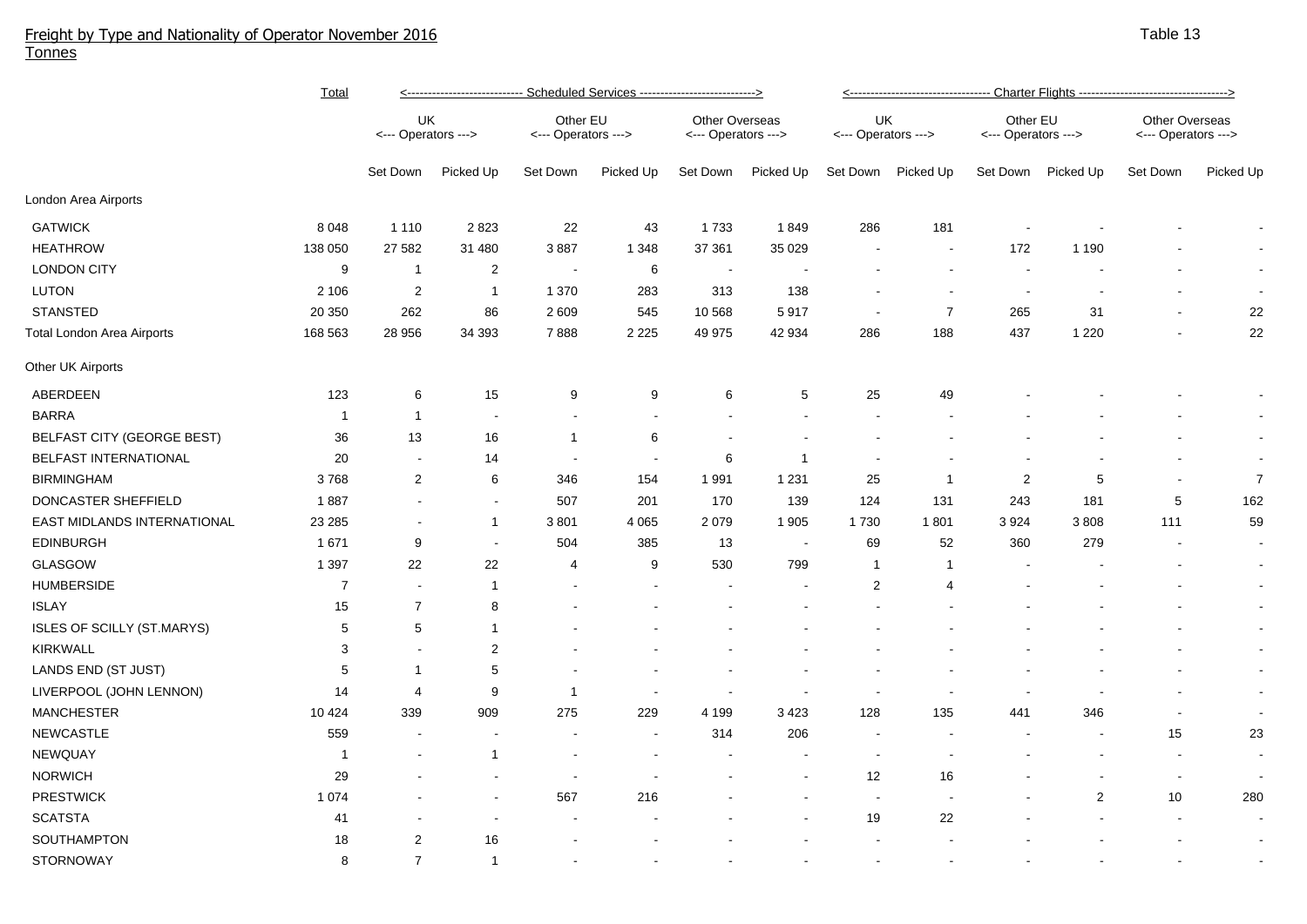## Freight by Type and Nationality of Operator November 2016 Tonnes

|                                   | <b>Total</b>   | <---------------------------- Scheduled Services ----------------------------> |                |                                 |           |                                       |                |                           |                          |                                 |                          |                                       |                |  |
|-----------------------------------|----------------|--------------------------------------------------------------------------------|----------------|---------------------------------|-----------|---------------------------------------|----------------|---------------------------|--------------------------|---------------------------------|--------------------------|---------------------------------------|----------------|--|
|                                   |                | UK<br><--- Operators --->                                                      |                | Other EU<br><--- Operators ---> |           | Other Overseas<br><--- Operators ---> |                | UK<br><--- Operators ---> |                          | Other EU<br><--- Operators ---> |                          | Other Overseas<br><--- Operators ---> |                |  |
|                                   |                | Set Down                                                                       | Picked Up      | Set Down                        | Picked Up | Set Down                              | Picked Up      | Set Down                  | Picked Up                | Set Down                        | Picked Up                | Set Down                              | Picked Up      |  |
| London Area Airports              |                |                                                                                |                |                                 |           |                                       |                |                           |                          |                                 |                          |                                       |                |  |
| <b>GATWICK</b>                    | 8 0 4 8        | 1 1 1 0                                                                        | 2823           | 22                              | 43        | 1733                                  | 1849           | 286                       | 181                      | $\overline{\phantom{a}}$        |                          |                                       | $\sim$         |  |
| <b>HEATHROW</b>                   | 138 050        | 27 5 82                                                                        | 31 480         | 3887                            | 1 3 4 8   | 37 361                                | 35 0 29        |                           | $\overline{\phantom{a}}$ | 172                             | 1 1 9 0                  |                                       | $\sim$         |  |
| <b>LONDON CITY</b>                | 9              | $\overline{1}$                                                                 | $\overline{2}$ | $\overline{\phantom{a}}$        | 6         | $\sim$                                |                |                           | $\sim$                   | $\overline{\phantom{a}}$        |                          |                                       | $\sim$         |  |
| <b>LUTON</b>                      | 2 10 6         | $\overline{2}$                                                                 | $\mathbf{1}$   | 1 3 7 0                         | 283       | 313                                   | 138            |                           |                          |                                 |                          |                                       | $\sim$         |  |
| <b>STANSTED</b>                   | 20 350         | 262                                                                            | 86             | 2 6 0 9                         | 545       | 10 568                                | 5917           |                           | $\overline{7}$           | 265                             | 31                       | $\blacksquare$                        | 22             |  |
| Total London Area Airports        | 168 563        | 28 956                                                                         | 34 393         | 7888                            | 2 2 2 5   | 49 975                                | 42 934         | 286                       | 188                      | 437                             | 1 2 2 0                  | $\blacksquare$                        | 22             |  |
| Other UK Airports                 |                |                                                                                |                |                                 |           |                                       |                |                           |                          |                                 |                          |                                       |                |  |
| ABERDEEN                          | 123            | 6                                                                              | 15             | 9                               | 9         | 6                                     | 5              | 25                        | 49                       |                                 |                          |                                       |                |  |
| <b>BARRA</b>                      | $\mathbf{1}$   | $\overline{1}$                                                                 |                |                                 |           |                                       |                |                           |                          |                                 |                          |                                       | $\sim$         |  |
| <b>BELFAST CITY (GEORGE BEST)</b> | 36             | 13                                                                             | 16             | $\mathbf{1}$                    | 6         |                                       |                |                           |                          |                                 |                          |                                       | $\sim$         |  |
| BELFAST INTERNATIONAL             | 20             |                                                                                | 14             |                                 |           | 6                                     | $\mathbf 1$    |                           |                          |                                 |                          |                                       | $\sim$         |  |
| <b>BIRMINGHAM</b>                 | 3768           | $\mathbf{2}$                                                                   | $\,6\,$        | 346                             | 154       | 1 9 9 1                               | 1 2 3 1        | 25                        | $\mathbf 1$              | 2                               | 5                        |                                       | $\overline{7}$ |  |
| DONCASTER SHEFFIELD               | 1887           |                                                                                | $\blacksquare$ | 507                             | 201       | 170                                   | 139            | 124                       | 131                      | 243                             | 181                      | 5                                     | 162            |  |
| EAST MIDLANDS INTERNATIONAL       | 23 285         |                                                                                | $\mathbf{1}$   | 3801                            | 4 0 6 5   | 2 0 7 9                               | 1 9 0 5        | 1730                      | 1801                     | 3924                            | 3808                     | 111                                   | 59             |  |
| <b>EDINBURGH</b>                  | 1671           | 9                                                                              | $\blacksquare$ | 504                             | 385       | 13                                    | $\blacksquare$ | 69                        | 52                       | 360                             | 279                      |                                       | $\sim$         |  |
| GLASGOW                           | 1 3 9 7        | 22                                                                             | 22             | 4                               | 9         | 530                                   | 799            | -1                        | $\mathbf{1}$             |                                 |                          |                                       | $\sim$         |  |
| <b>HUMBERSIDE</b>                 | $\overline{7}$ | $\sim$                                                                         | $\overline{1}$ |                                 |           |                                       |                | $\overline{2}$            | 4                        |                                 |                          |                                       | $\blacksquare$ |  |
| <b>ISLAY</b>                      | 15             | $\overline{7}$                                                                 | 8              |                                 |           |                                       |                |                           |                          |                                 |                          |                                       | $\sim$         |  |
| ISLES OF SCILLY (ST.MARYS)        | 5              | 5                                                                              | $\mathbf{1}$   |                                 |           |                                       |                |                           |                          |                                 |                          |                                       | $\blacksquare$ |  |
| KIRKWALL                          | 3              |                                                                                | $\overline{2}$ |                                 |           |                                       |                |                           |                          |                                 |                          |                                       | $\sim$         |  |
| LANDS END (ST JUST)               | 5              | -1                                                                             | 5              |                                 |           |                                       |                |                           |                          |                                 |                          |                                       | $\sim$         |  |
| LIVERPOOL (JOHN LENNON)           | 14             | 4                                                                              | 9              | $\mathbf{1}$                    |           |                                       |                | $\overline{\phantom{a}}$  |                          |                                 |                          |                                       | $\sim$         |  |
| <b>MANCHESTER</b>                 | 10 4 24        | 339                                                                            | 909            | 275                             | 229       | 4 1 9 9                               | 3 4 2 3        | 128                       | 135                      | 441                             | 346                      |                                       | $\sim$         |  |
| <b>NEWCASTLE</b>                  | 559            |                                                                                |                |                                 |           | 314                                   | 206            | $\overline{a}$            |                          |                                 | $\overline{\phantom{a}}$ | 15                                    | 23             |  |
| NEWQUAY                           | -1             |                                                                                | $\mathbf{1}$   |                                 |           |                                       |                | $\overline{\phantom{a}}$  |                          |                                 |                          |                                       | $\sim$         |  |
| <b>NORWICH</b>                    | 29             |                                                                                |                |                                 |           |                                       |                | 12                        | 16                       |                                 |                          | $\sim$                                |                |  |
| <b>PRESTWICK</b>                  | 1 0 7 4        |                                                                                |                | 567                             | 216       |                                       |                |                           |                          |                                 | $\overline{2}$           | 10                                    | 280            |  |
| <b>SCATSTA</b>                    | 41             |                                                                                |                |                                 |           |                                       |                | 19                        | 22                       |                                 |                          |                                       |                |  |
| SOUTHAMPTON                       | 18             | $\overline{2}$                                                                 | 16             |                                 |           |                                       |                |                           |                          |                                 |                          |                                       |                |  |
| STORNOWAY                         | 8              | $\overline{7}$                                                                 | $\mathbf{1}$   | $\blacksquare$                  |           |                                       |                |                           |                          |                                 |                          |                                       |                |  |